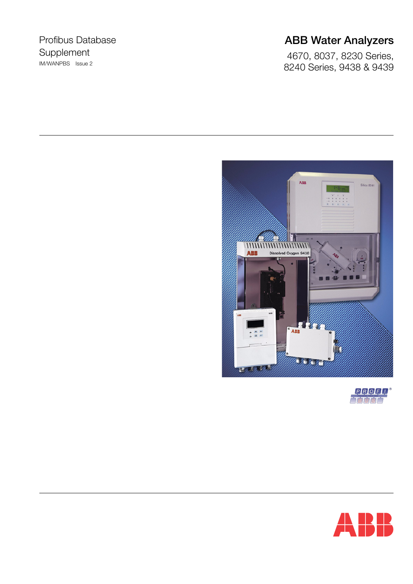## Profibus Database Supplement IM/WANPBS Issue 2

# **ABB Water Analyzers**

4670, 8037, 8230 Series, 8240 Series, 9438 & 9439





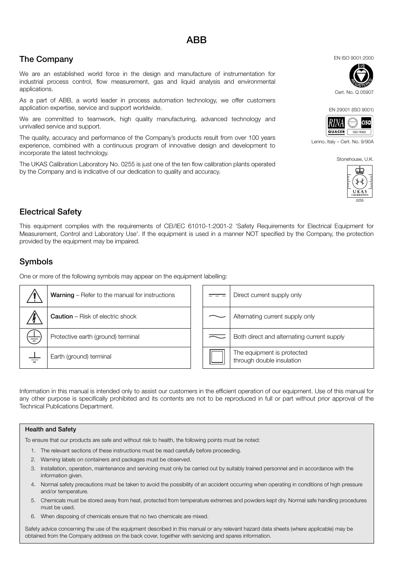# **The Company**

We are an established world force in the design and manufacture of instrumentation for industrial process control, flow measurement, gas and liquid analysis and environmental applications.

As a part of ABB, a world leader in process automation technology, we offer customers application expertise, service and support worldwide.

We are committed to teamwork, high quality manufacturing, advanced technology and unrivalled service and support.

The quality, accuracy and performance of the Company's products result from over 100 years experience, combined with a continuous program of innovative design and development to incorporate the latest technology.

The UKAS Calibration Laboratory No. 0255 is just one of the ten flow calibration plants operated by the Company and is indicative of our dedication to quality and accuracy.

**Electrical Safety**

This equipment complies with the requirements of CEI/IEC 61010-1:2001-2 'Safety Requirements for Electrical Equipment for Measurement, Control and Laboratory Use'. If the equipment is used in a manner NOT specified by the Company, the protection provided by the equipment may be impaired.

## **Symbols**

One or more of the following symbols may appear on the equipment labelling:

| <b>Warning</b> – Refer to the manual for instructions |  | Direct current supply only                              |
|-------------------------------------------------------|--|---------------------------------------------------------|
| <b>Caution</b> – Risk of electric shock               |  | Alternating current supply only                         |
| Protective earth (ground) terminal                    |  | Both direct and alternating current supply              |
| Earth (ground) terminal                               |  | The equipment is protected<br>through double insulation |

Information in this manual is intended only to assist our customers in the efficient operation of our equipment. Use of this manual for any other purpose is specifically prohibited and its contents are not to be reproduced in full or part without prior approval of the Technical Publications Department.

#### **Health and Safety**

To ensure that our products are safe and without risk to health, the following points must be noted:

- 1. The relevant sections of these instructions must be read carefully before proceeding.
- 2. Warning labels on containers and packages must be observed.
- 3. Installation, operation, maintenance and servicing must only be carried out by suitably trained personnel and in accordance with the information given.
- 4. Normal safety precautions must be taken to avoid the possibility of an accident occurring when operating in conditions of high pressure and/or temperature.
- 5. Chemicals must be stored away from heat, protected from temperature extremes and powders kept dry. Normal safe handling procedures must be used.
- 6. When disposing of chemicals ensure that no two chemicals are mixed.

Safety advice concerning the use of the equipment described in this manual or any relevant hazard data sheets (where applicable) may be obtained from the Company address on the back cover, together with servicing and spares information.



EN 29001 (ISO 9001)



Lenno, Italy – Cert. No. 9/90A

Stonehouse, U.K.



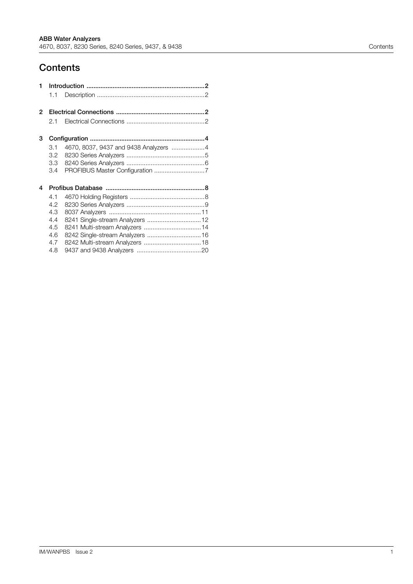## **Contents**

| 1 |     |                                       |  |
|---|-----|---------------------------------------|--|
|   | 1.1 |                                       |  |
| 2 |     |                                       |  |
|   | 2.1 |                                       |  |
| 3 |     |                                       |  |
|   | 3.1 | 4670, 8037, 9437 and 9438 Analyzers 4 |  |
|   | 3.2 |                                       |  |
|   | 3.3 |                                       |  |
|   | 3.4 |                                       |  |
| 4 |     |                                       |  |
|   | 4.1 |                                       |  |
|   | 4.2 |                                       |  |
|   | 4.3 |                                       |  |
|   | 4.4 |                                       |  |
|   | 4.5 |                                       |  |
|   | 4.6 | 8242 Single-stream Analyzers  16      |  |
|   | 4.7 |                                       |  |
|   | 4.8 |                                       |  |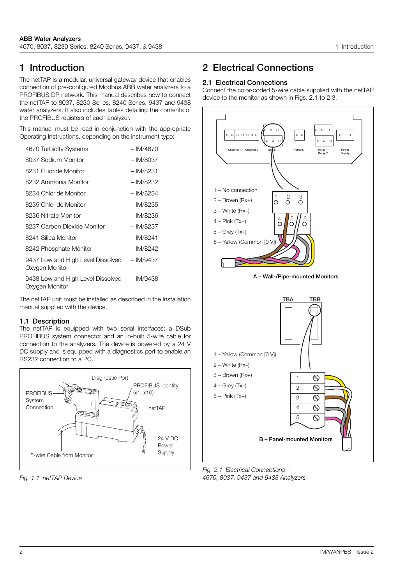## <span id="page-3-0"></span>**1 Introduction**

The netTAP is a modular, universal gateway device that enables connection of pre-configured Modbus ABB water analyzers to a PROFIBUS DP network. This manual describes how to connect the netTAP to 8037, 8230 Series, 8240 Series, 9437 and 9438 water analyzers. It also includes tables detailing the contents of the PROFIBUS registers of each analyzer.

This manual must be read in conjunction with the appropriate Operating Instructions, depending on the instrument type:

| 4670 Turbidity Systems                              | $-$ IM/4670 |
|-----------------------------------------------------|-------------|
| 8037 Sodium Monitor                                 | $-$ IM/8037 |
| 8231 Fluoride Monitor                               | – IM/8231   |
| 8232 Ammonia Monitor                                | – IM/8232   |
| 8234 Chloride Monitor                               | – IM/8234   |
| 8235 Chloride Monitor                               | – IM/8235   |
| 8236 Nitrate Monitor                                | – IM/8236   |
| 8237 Carbon Dioxide Monitor                         | – IM/8237   |
| 8241 Silica Monitor                                 | $-$ IM/8241 |
| 8242 Phosphate Monitor                              | – IM/8242   |
| 9437 Low and High Level Dissolved<br>Oxygen Monitor | $-$ IM/9437 |
| 9438 Low and High Level Dissolved<br>Oxygen Monitor | $-$ IM/9438 |
|                                                     |             |

The netTAP unit must be installed as described in the Installation manual supplied with the device.

### <span id="page-3-1"></span>**1.1 Description**

The netTAP is equipped with two serial interfaces; a DSub PROFIBUS system connector and an in-built 5-wire cable for connection to the analyzers. The device is powered by a 24 V DC supply and is equipped with a diagnostics port to enable an RS232 connection to a PC.



*Fig. 1.1 netTAP Device*

## <span id="page-3-2"></span>**2 Electrical Connections**

### <span id="page-3-3"></span>**2.1 Electrical Connections**

Connect the color-coded 5-wire cable supplied with the netTAP device to the monitor as shown in Figs. 2.1 to 2.3.



*Fig. 2.1 Electrical Connections – 4670, 8037, 9437 and 9438 Analyzers*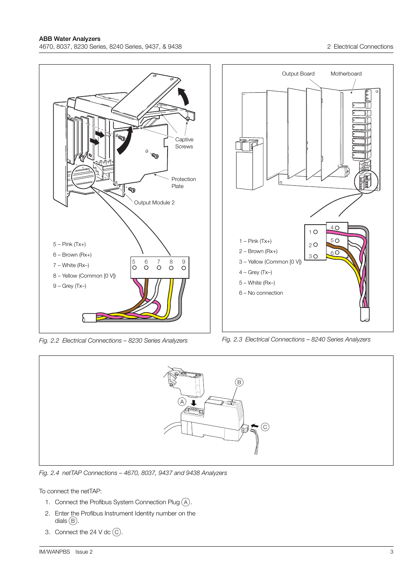

*Fig. 2.2 Electrical Connections – 8230 Series Analyzers*

*Fig. 2.3 Electrical Connections – 8240 Series Analyzers*



*Fig. 2.4 netTAP Connections – 4670, 8037, 9437 and 9438 Analyzers*

To connect the netTAP:

- 1. Connect the Profibus System Connection Plug  $(A)$ .
- 2. Enter the Profibus Instrument Identity number on the dials  $(B)$ .
- 3. Connect the 24 V dc  $\circled{C}$ .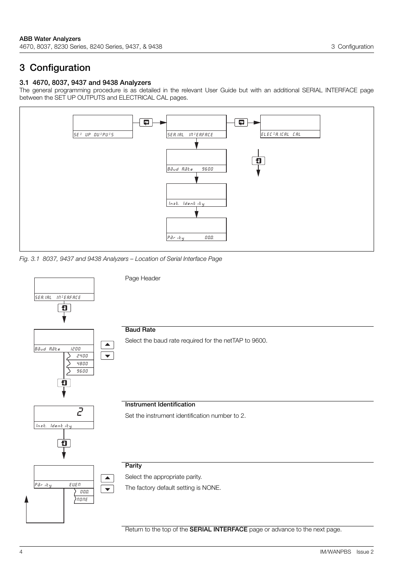## <span id="page-5-0"></span>**3 Configuration**

### <span id="page-5-1"></span>**3.1 4670, 8037, 9437 and 9438 Analyzers**

The general programming procedure is as detailed in the relevant User Guide but with an additional SERIAL INTERFACE page between the SET UP OUTPUTS and ELECTRICAL CAL pages.



*Fig. 3.1 8037, 9437 and 9438 Analyzers – Location of Serial Interface Page*

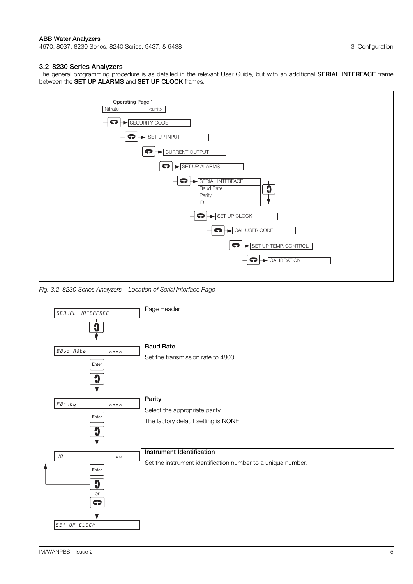### <span id="page-6-0"></span>**3.2 8230 Series Analyzers**

The general programming procedure is as detailed in the relevant User Guide, but with an additional **SERIAL INTERFACE** frame between the **SET UP ALARMS** and **SET UP CLOCK** frames.



*Fig. 3.2 8230 Series Analyzers – Location of Serial Interface Page*

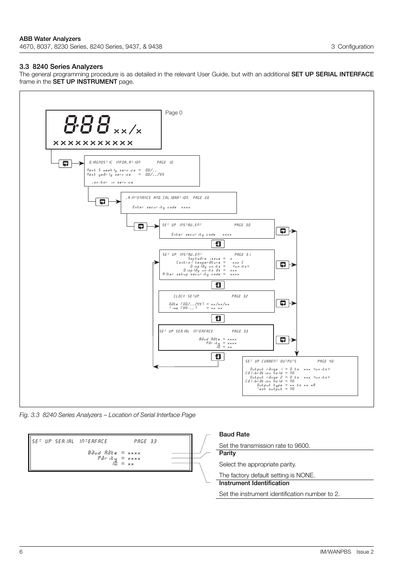#### <span id="page-7-0"></span>**3.3 8240 Series Analyzers**

The general programming procedure is as detailed in the relevant User Guide, but with an additional **SET UP SERIAL INTERFACE** frame in the **SET UP INSTRUMENT** page.



*Fig. 3.3 8240 Series Analyzers – Location of Serial Interface Page*

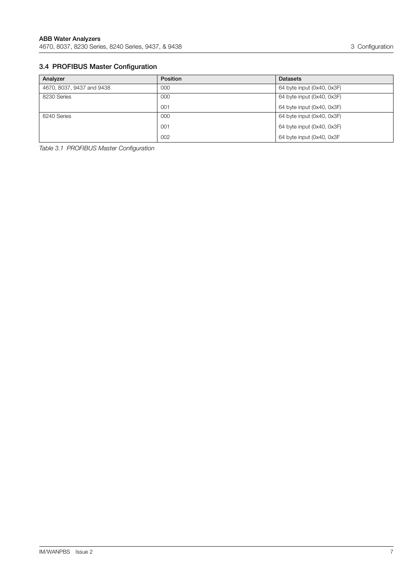## <span id="page-8-0"></span>**3.4 PROFIBUS Master Configuration**

| Analyzer                  | <b>Position</b> | <b>Datasets</b>            |
|---------------------------|-----------------|----------------------------|
| 4670, 8037, 9437 and 9438 | 000             | 64 byte input (0x40, 0x3F) |
| 8230 Series               | 000             | 64 byte input (0x40, 0x3F) |
|                           | 001             | 64 byte input (0x40, 0x3F) |
| 8240 Series               | 000             | 64 byte input (0x40, 0x3F) |
|                           | 001             | 64 byte input (0x40, 0x3F) |
|                           | 002             | 64 byte input (0x40, 0x3F  |

*Table 3.1 PROFIBUS Master Configuration*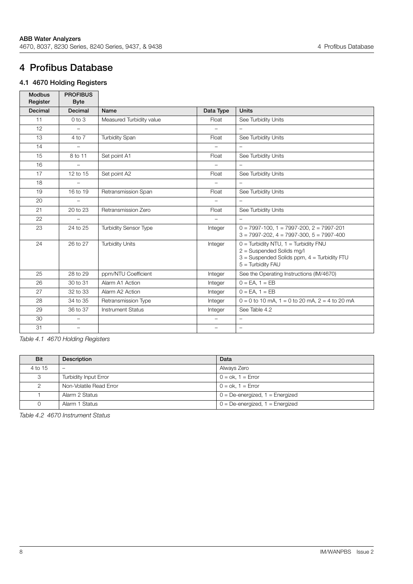## <span id="page-9-0"></span>**4 Profibus Database**

## <span id="page-9-1"></span>**4.1 4670 Holding Registers**

| <b>Modbus</b><br>Register | <b>PROFIBUS</b><br><b>Byte</b> |                              |                          |                                                                                                                                                 |
|---------------------------|--------------------------------|------------------------------|--------------------------|-------------------------------------------------------------------------------------------------------------------------------------------------|
| <b>Decimal</b>            | Decimal                        | Name                         | Data Type                | <b>Units</b>                                                                                                                                    |
| 11                        | $0$ to $3$                     | Measured Turbidity value     | Float                    | See Turbidity Units                                                                                                                             |
| 12                        | $\overline{\phantom{0}}$       |                              |                          |                                                                                                                                                 |
| 13                        | 4 to 7                         | <b>Turbidity Span</b>        | Float                    | See Turbidity Units                                                                                                                             |
| 14                        |                                |                              |                          | $\overline{\phantom{0}}$                                                                                                                        |
| 15                        | 8 to 11                        | Set point A1                 | Float                    | See Turbidity Units                                                                                                                             |
| 16                        | $\overline{\phantom{0}}$       |                              | $\overline{\phantom{0}}$ | $\overline{\phantom{a}}$                                                                                                                        |
| 17                        | 12 to 15                       | Set point A2                 | Float                    | See Turbidity Units                                                                                                                             |
| 18                        | $\overline{\phantom{0}}$       |                              | $\overline{\phantom{0}}$ | $\overline{\phantom{m}}$                                                                                                                        |
| 19                        | 16 to 19                       | Retransmission Span          | Float                    | See Turbidity Units                                                                                                                             |
| 20                        |                                |                              | $\overline{\phantom{0}}$ |                                                                                                                                                 |
| 21                        | 20 to 23                       | Retransmission Zero          | Float                    | See Turbidity Units                                                                                                                             |
| 22                        |                                |                              |                          |                                                                                                                                                 |
| 23                        | 24 to 25                       | <b>Turbidity Sensor Type</b> | Integer                  | $0 = 7997 - 100$ , $1 = 7997 - 200$ , $2 = 7997 - 201$<br>$3 = 7997 - 202$ , $4 = 7997 - 300$ , $5 = 7997 - 400$                                |
| 24                        | 26 to 27                       | <b>Turbidity Units</b>       | Integer                  | $0 =$ Turbidity NTU, $1 =$ Turbidity FNU<br>2 = Suspended Solids mg/l<br>$3 =$ Suspended Solids ppm, $4 =$ Turbidity FTU<br>$5 =$ Turbidity FAU |
| 25                        | 28 to 29                       | ppm/NTU Coefficient          | Integer                  | See the Operating Instructions (IM/4670)                                                                                                        |
| 26                        | 30 to 31                       | Alarm A1 Action              | Integer                  | $0 = EA$ . $1 = EB$                                                                                                                             |
| 27                        | 32 to 33                       | Alarm A2 Action              | Integer                  | $\overline{0}$ = EA, 1 = EB                                                                                                                     |
| 28                        | 34 to 35                       | Retransmission Type          | Integer                  | $0 = 0$ to 10 mA, 1 = 0 to 20 mA, 2 = 4 to 20 mA                                                                                                |
| 29                        | 36 to 37                       | <b>Instrument Status</b>     | Integer                  | See Table 4.2                                                                                                                                   |
| 30                        | $\overline{\phantom{0}}$       |                              | $\overline{\phantom{0}}$ | $\overline{\phantom{a}}$                                                                                                                        |
| 31                        | $\overline{\phantom{0}}$       |                              | $\overline{\phantom{0}}$ | $\overline{\phantom{0}}$                                                                                                                        |

*Table 4.1 4670 Holding Registers*

<span id="page-9-2"></span>

| <b>Bit</b> | Description             | Data                                  |
|------------|-------------------------|---------------------------------------|
| 4 to 15    | -                       | Always Zero                           |
| 3          | Turbidity Input Error   | $0 = \circ k$ , $1 = \text{Error}$    |
| 2          | Non-Volatile Read Error | $0 = \circ k$ . $1 = \text{Error}$    |
|            | Alarm 2 Status          | $0 = De$ -energized, $1 = E$ nergized |
| $\Omega$   | Alarm 1 Status          | $0 = De$ -energized, $1 = E$ nergized |

*Table 4.2 4670 Instrument Status*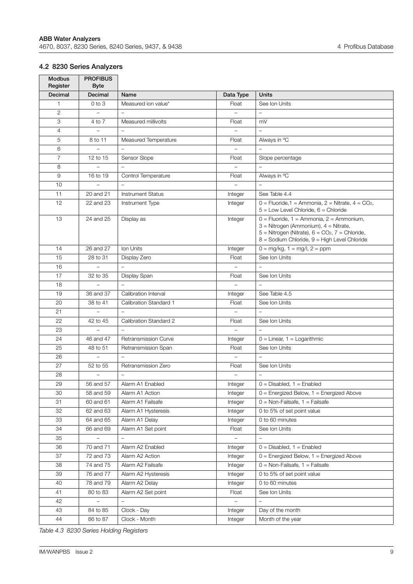## <span id="page-10-0"></span>**4.2 8230 Series Analyzers**

| <b>Modbus</b><br>Register | <b>PROFIBUS</b><br><b>Byte</b> |                          |                          |                                                                                                                |
|---------------------------|--------------------------------|--------------------------|--------------------------|----------------------------------------------------------------------------------------------------------------|
| <b>Decimal</b>            | Decimal                        | Name                     | Data Type                | <b>Units</b>                                                                                                   |
| $\mathbf{1}$              | $0$ to $3$                     | Measured ion value*      | Float                    | See Ion Units                                                                                                  |
| 2                         | $\overline{\phantom{m}}$       | $\equiv$                 | $\equiv$                 | $\overline{\phantom{0}}$                                                                                       |
| 3                         | 4 to 7                         | Measured millivolts      | Float                    | mV                                                                                                             |
| $\overline{4}$            |                                |                          |                          | $\overline{a}$                                                                                                 |
| 5                         | 8 to 11                        | Measured Temperature     | Float                    | Always in °C                                                                                                   |
| 6                         |                                |                          | $\qquad \qquad -$        |                                                                                                                |
| $\overline{7}$            | 12 to 15                       | Sensor Slope             | Float                    | Slope percentage                                                                                               |
| 8                         | $\equiv$                       | $\overline{\phantom{0}}$ | $\overline{a}$           | $\equiv$                                                                                                       |
| 9                         | 16 to 19                       | Control Temperature      | Float                    | Always in °C                                                                                                   |
| 10                        |                                |                          |                          |                                                                                                                |
| 11                        | 20 and 21                      | <b>Instrument Status</b> | Integer                  | See Table 4.4                                                                                                  |
| 12                        | 22 and 23                      | Instrument Type          | Integer                  | $0 =$ Fluoride, 1 = Ammonia, 2 = Nitrate, 4 = CO2,                                                             |
|                           |                                |                          |                          | $5 =$ Low Level Chloride, $6 =$ Chloride                                                                       |
| 13                        | 24 and 25                      | Display as               | Integer                  | $0 =$ Fluoride, 1 = Ammonia, 2 = Ammonium,                                                                     |
|                           |                                |                          |                          | $3$ = Nitrogen (Ammonium), $4$ = Nitrate,<br>$5$ = Nitrogen (Nitrate), $6$ = CO <sub>2</sub> , $7$ = Chloride, |
|                           |                                |                          |                          | 8 = Sodium Chloride, 9 = High Level Chloride                                                                   |
| 14                        | 26 and 27                      | Ion Units                | Integer                  | $0 = mg/kg$ , $1 = mg/l$ , $2 = ppm$                                                                           |
| 15                        | 28 to 31                       | Display Zero             | Float                    | See Ion Units                                                                                                  |
| 16                        | $\equiv$                       | $\overline{a}$           | $\overline{a}$           | $\overline{\phantom{0}}$                                                                                       |
| 17                        | 32 to 35                       | Display Span             | Float                    | See Ion Units                                                                                                  |
| 18                        |                                |                          |                          |                                                                                                                |
| 19                        | 36 and 37                      | Calibration Interval     | Integer                  | See Table 4.5                                                                                                  |
| 20                        | 38 to 41                       | Calibration Standard 1   | Float                    | See Ion Units                                                                                                  |
| 21                        | $\overline{\phantom{0}}$       | $\overline{\phantom{0}}$ | $\overline{\phantom{0}}$ | $\overline{a}$                                                                                                 |
| 22                        | 42 to 45                       | Calibration Standard 2   | Float                    | See Ion Units                                                                                                  |
| 23                        |                                |                          |                          |                                                                                                                |
| 24                        | 46 and 47                      | Retransmission Curve     | Integer                  | $0 = Linear, 1 = Logarithmic$                                                                                  |
| 25                        | 48 to 51                       | Retransmission Span      | Float                    | See Ion Units                                                                                                  |
| 26                        |                                |                          | $\overline{\phantom{m}}$ |                                                                                                                |
| 27                        | 52 to 55                       | Retransmission Zero      | Float                    | See Ion Units                                                                                                  |
| 28                        |                                | $\overline{a}$           | $\overline{a}$           | $\overline{a}$                                                                                                 |
| 29                        | 56 and 57                      | Alarm A1 Enabled         | Integer                  | $0 = Disabeled$ , 1 = Enabled                                                                                  |
| 30                        | 58 and 59                      | Alarm A1 Action          | Integer                  | $0 =$ Energized Below, $1 =$ Energized Above                                                                   |
| 31                        | 60 and 61                      | Alarm A1 Failsafe        | Integer                  | $0 = \text{Non-Failsafe}, 1 = \text{Failsafe}$                                                                 |
| 32                        | 62 and 63                      | Alarm A1 Hysteresis      | Integer                  | 0 to 5% of set point value                                                                                     |
| 33                        | 64 and 65                      | Alarm A1 Delay           | Integer                  | 0 to 60 minutes                                                                                                |
| 34                        | 66 and 69                      | Alarm A1 Set point       | Float                    | See Ion Units                                                                                                  |
| 35                        |                                |                          |                          |                                                                                                                |
| 36                        | 70 and 71                      | Alarm A2 Enabled         | Integer                  | $0 = Disabled$ , $1 = Enabled$                                                                                 |
| 37                        | 72 and 73                      | Alarm A2 Action          | Integer                  | $0 =$ Energized Below, $1 =$ Energized Above                                                                   |
| 38                        | 74 and 75                      | Alarm A2 Failsafe        | Integer                  | $0 = \text{Non-Failsafe}, 1 = \text{Failsafe}$                                                                 |
| 39                        | 76 and 77                      | Alarm A2 Hysteresis      | Integer                  | 0 to 5% of set point value                                                                                     |
| 40                        | 78 and 79                      | Alarm A2 Delay           | Integer                  | 0 to 60 minutes                                                                                                |
| 41                        | 80 to 83                       | Alarm A2 Set point       | Float                    | See Ion Units                                                                                                  |
| 42                        |                                |                          |                          |                                                                                                                |
| 43                        | 84 to 85                       | Clock - Day              | Integer                  | Day of the month                                                                                               |
| 44                        | 86 to 87                       | Clock - Month            | Integer                  | Month of the year                                                                                              |

*Table 4.3 8230 Series Holding Registers*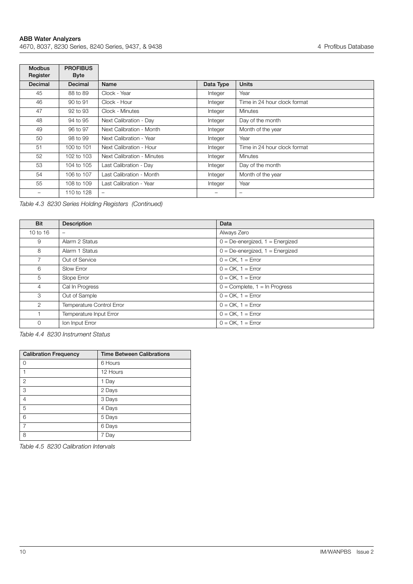$\blacksquare$ 

| <b>Modbus</b><br>Register | <b>PROFIBUS</b><br><b>Byte</b> |                            |           |                              |
|---------------------------|--------------------------------|----------------------------|-----------|------------------------------|
| Decimal                   | Decimal                        | Name                       | Data Type | <b>Units</b>                 |
| 45                        | 88 to 89                       | Clock - Year               | Integer   | Year                         |
| 46                        | 90 to 91                       | Clock - Hour               | Integer   | Time in 24 hour clock format |
| 47                        | 92 to 93                       | Clock - Minutes            | Integer   | <b>Minutes</b>               |
| 48                        | 94 to 95                       | Next Calibration - Day     | Integer   | Day of the month             |
| 49                        | 96 to 97                       | Next Calibration - Month   | Integer   | Month of the year            |
| 50                        | 98 to 99                       | Next Calibration - Year    | Integer   | Year                         |
| 51                        | 100 to 101                     | Next Calibration - Hour    | Integer   | Time in 24 hour clock format |
| 52                        | 102 to 103                     | Next Calibration - Minutes | Integer   | <b>Minutes</b>               |
| 53                        | 104 to 105                     | Last Calibration - Day     | Integer   | Day of the month             |
| 54                        | 106 to 107                     | Last Calibration - Month   | Integer   | Month of the year            |
| 55                        | 108 to 109                     | Last Calibration - Year    | Integer   | Year                         |
|                           | 110 to 128                     | $\qquad \qquad -$          |           | $\qquad \qquad$              |

*Table 4.3 8230 Series Holding Registers (Continued)*

<span id="page-11-0"></span>

| Bit            | Description               | Data                                 |
|----------------|---------------------------|--------------------------------------|
| 10 to 16       | $\overline{\phantom{0}}$  | Always Zero                          |
| 9              | Alarm 2 Status            | $0 = De-energized$ , $1 = Energized$ |
| 8              | Alarm 1 Status            | $0 = De-energized$ , $1 = Energized$ |
|                | Out of Service            | $0 = OK$ , $1 = Error$               |
| 6              | Slow Error                | $0 = OK$ , $1 = Error$               |
| 5              | Slope Error               | $0 = OK$ , $1 = Error$               |
| $\overline{4}$ | Cal In Progress           | $0 =$ Complete, $1 =$ In Progress    |
| 3              | Out of Sample             | $0 = OK$ , $1 = Error$               |
| $\overline{2}$ | Temperature Control Error | $0 = OK$ , $1 = Error$               |
|                | Temperature Input Error   | $0 = OK$ , $1 = Error$               |
| $\mathbf 0$    | Ion Input Error           | $0 = OK$ , $1 = Error$               |

*Table 4.4 8230 Instrument Status*

<span id="page-11-1"></span>

| <b>Calibration Frequency</b> | <b>Time Between Calibrations</b> |
|------------------------------|----------------------------------|
| 0                            | 6 Hours                          |
|                              | 12 Hours                         |
| $\overline{2}$               | 1 Day                            |
| 3                            | 2 Days                           |
| 4                            | 3 Days                           |
| 5                            | 4 Days                           |
| 6                            | 5 Days                           |
|                              | 6 Days                           |
| 8                            | Day                              |

*Table 4.5 8230 Calibration Intervals*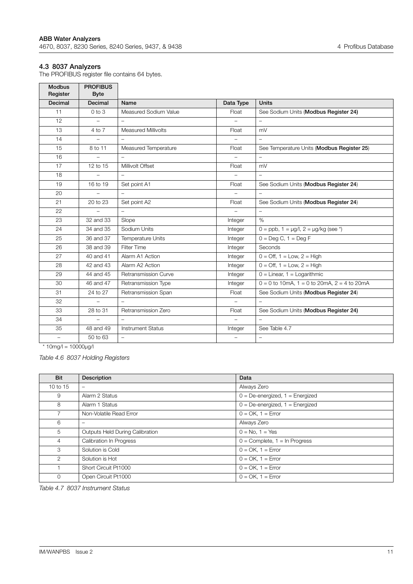#### <span id="page-12-0"></span>**4.3 8037 Analyzers**

The PROFIBUS register file contains 64 bytes. **PROFIBUS** 

| <b>Modbus</b><br>Register | <b>PROFIBUS</b><br><b>Byte</b> |                            |                          |                                                   |
|---------------------------|--------------------------------|----------------------------|--------------------------|---------------------------------------------------|
| Decimal                   | <b>Decimal</b>                 | Name                       | Data Type                | <b>Units</b>                                      |
| 11                        | $0$ to $3$                     | Measured Sodium Value      | Float                    | See Sodium Units (Modbus Register 24)             |
| 12                        | $\overline{\phantom{a}}$       |                            |                          | $\overline{\phantom{a}}$                          |
| 13                        | 4 to 7                         | <b>Measured Millivolts</b> | Float                    | mV                                                |
| 14                        | $\overline{\phantom{m}}$       | $\overline{\phantom{m}}$   | $\overline{\phantom{0}}$ | $\overline{\phantom{a}}$                          |
| 15                        | 8 to 11                        | Measured Temperature       | Float                    | See Temperature Units (Modbus Register 25)        |
| 16                        | $\overline{\phantom{0}}$       | $\overline{\phantom{0}}$   | $\overline{\phantom{0}}$ | $\overline{\phantom{a}}$                          |
| 17                        | 12 to 15                       | Millivolt Offset           | Float                    | mV                                                |
| 18                        |                                | $\overline{\phantom{0}}$   |                          | $\overline{\phantom{m}}$                          |
| 19                        | 16 to 19                       | Set point A1               | Float                    | See Sodium Units (Modbus Register 24)             |
| 20                        |                                |                            |                          |                                                   |
| 21                        | 20 to 23                       | Set point A2               | Float                    | See Sodium Units (Modbus Register 24)             |
| 22                        |                                |                            |                          | $\overline{\phantom{0}}$                          |
| 23                        | 32 and 33                      | Slope                      | Integer                  | $\%$                                              |
| 24                        | 34 and 35                      | Sodium Units               | Integer                  | $0 =$ ppb, $1 = \mu g/l$ , $2 = \mu g/kg$ (see *) |
| 25                        | 36 and 37                      | Temperature Units          | Integer                  | $\overline{0}$ = Deg C, 1 = Deg F                 |
| 26                        | 38 and 39                      | <b>Filter Time</b>         | Integer                  | Seconds                                           |
| 27                        | 40 and 41                      | Alarm A1 Action            | Integer                  | $0 = \text{Off}, 1 = \text{Low}, 2 = \text{High}$ |
| 28                        | 42 and 43                      | Alarm A2 Action            | Integer                  | $0 = \text{Off}, 1 = \text{Low}, 2 = \text{High}$ |
| 29                        | 44 and 45                      | Retransmission Curve       | Integer                  | $0 =$ Linear, $1 =$ Logarithmic                   |
| 30                        | 46 and 47                      | Retransmission Type        | Integer                  | $0 = 0$ to 10mA, 1 = 0 to 20mA, 2 = 4 to 20mA     |
| 31                        | 24 to 27                       | Retransmission Span        | Float                    | See Sodium Units (Modbus Register 24)             |
| 32                        |                                |                            |                          |                                                   |
| 33                        | 28 to 31                       | Retransmission Zero        | Float                    | See Sodium Units (Modbus Register 24)             |
| 34                        | $\overline{\phantom{0}}$       | $\equiv$                   |                          | $\overline{\phantom{m}}$                          |
| 35                        | 48 and 49                      | <b>Instrument Status</b>   | Integer                  | See Table 4.7                                     |
| -                         | 50 to 63                       |                            | $\overline{\phantom{0}}$ | $\overline{\phantom{0}}$                          |

 $*$  10mg/l = 10000 $\mu$ g/l

*Table 4.6 8037 Holding Registers*

<span id="page-12-1"></span>

| <b>Bit</b>     | Description                     | Data                                 |
|----------------|---------------------------------|--------------------------------------|
| 10 to 15       |                                 | Always Zero                          |
| 9              | Alarm 2 Status                  | $0 = De-energized$ , $1 = Energized$ |
| 8              | Alarm 1 Status                  | $0 = De-energized$ , $1 = Energized$ |
| $\overline{7}$ | Non-Volatile Read Error         | $0 = OK$ , $1 = Error$               |
| 6              | $\overline{\phantom{0}}$        | Always Zero                          |
| 5              | Outputs Held During Calibration | $0 = No. 1 = Yes$                    |
| $\overline{4}$ | <b>Calibration In Progress</b>  | $0 =$ Complete, $1 =$ In Progress    |
| 3              | Solution is Cold                | $0 = OK$ , $1 = Error$               |
| 2              | Solution is Hot                 | $0 = OK$ , $1 = Error$               |
|                | Short Circuit Pt1000            | $0 = OK$ , $1 = Error$               |
| $\mathbf 0$    | Open Circuit Pt1000             | $0 = OK$ , $1 = Error$               |

*Table 4.7 8037 Instrument Status*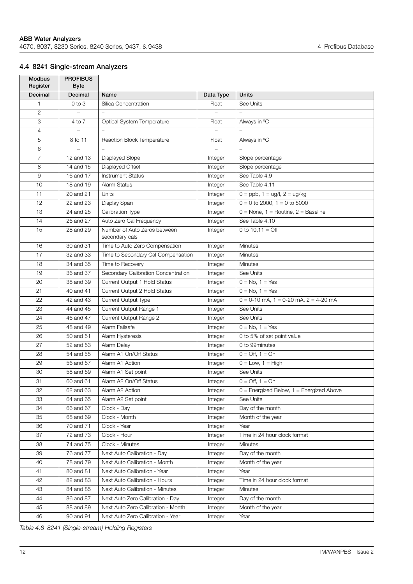## <span id="page-13-0"></span>**4.4 8241 Single-stream Analyzers**

| <b>Modbus</b><br>Register | <b>PROFIBUS</b><br><b>Byte</b> |                                     |                |                                              |
|---------------------------|--------------------------------|-------------------------------------|----------------|----------------------------------------------|
| Decimal                   | Decimal                        | Name                                | Data Type      | <b>Units</b>                                 |
| $\mathbf{1}$              | $0$ to $3$                     | Silica Concentration                | Float          | See Units                                    |
| $\overline{2}$            |                                | $\equiv$                            | $\overline{a}$ | $\equiv$                                     |
| 3                         | 4 to 7                         | Optical System Temperature          | Float          | Always in °C                                 |
| $\overline{4}$            |                                |                                     |                |                                              |
| 5                         | 8 to 11                        | Reaction Block Temperature          | Float          | Always in °C                                 |
| 6                         |                                |                                     |                |                                              |
| $\overline{7}$            | 12 and 13                      | <b>Displayed Slope</b>              | Integer        | Slope percentage                             |
| 8                         | 14 and 15                      | Displayed Offset                    | Integer        | Slope percentage                             |
| 9                         | 16 and 17                      | <b>Instrument Status</b>            | Integer        | See Table 4.9                                |
| 10                        | 18 and 19                      | Alarm Status                        | Integer        | See Table 4.11                               |
| 11                        | 20 and 21                      | Units                               | Integer        | $0 =$ ppb, $1 =$ ug/l, $2 =$ ug/kg           |
| 12                        | 22 and 23                      | Display Span                        | Integer        | $0 = 0$ to 2000, $1 = 0$ to 5000             |
| 13                        | 24 and 25                      | Calibration Type                    | Integer        | $0 =$ None, 1 = Routine, 2 = Baseline        |
| 14                        | 26 and 27                      | Auto Zero Cal Frequency             | Integer        | See Table 4.10                               |
| 15                        | 28 and 29                      | Number of Auto Zeros between        | Integer        | 0 to $10.11 =$ Off                           |
|                           |                                | secondary cals                      |                |                                              |
| 16                        | 30 and 31                      | Time to Auto Zero Compensation      | Integer        | <b>Minutes</b>                               |
| 17                        | 32 and 33                      | Time to Secondary Cal Compensation  | Integer        | <b>Minutes</b>                               |
| 18                        | 34 and 35                      | Time to Recovery                    | Integer        | <b>Minutes</b>                               |
| 19                        | 36 and 37                      | Secondary Calibration Concentration | Integer        | See Units                                    |
| 20                        | 38 and 39                      | Current Output 1 Hold Status        | Integer        | $0 = No, 1 = Yes$                            |
| 21                        | 40 and 41                      | Current Output 2 Hold Status        | Integer        | $0 = No, 1 = Yes$                            |
| 22                        | 42 and 43                      | Current Output Type                 | Integer        | $0 = 0-10$ mA, $1 = 0-20$ mA, $2 = 4-20$ mA  |
| 23                        | 44 and 45                      | Current Output Range 1              | Integer        | See Units                                    |
| 24                        | 46 and 47                      | Current Output Range 2              | Integer        | See Units                                    |
| 25                        | 48 and 49                      | Alarm Failsafe                      | Integer        | $0 = No, 1 = Yes$                            |
| 26                        | 50 and 51                      | Alarm Hysteresis                    | Integer        | 0 to 5% of set point value                   |
| 27                        | 52 and 53                      | Alarm Delav                         | Integer        | 0 to 99minutes                               |
| 28                        | 54 and 55                      | Alarm A1 On/Off Status              | Integer        | $0 = \text{Off. } 1 = \text{On}$             |
| 29                        | 56 and 57                      | Alarm A1 Action                     | Integer        | $0 = Low, 1 = High$                          |
| 30                        | 58 and 59                      | Alarm A1 Set point                  | Integer        | See Units                                    |
| 31                        | 60 and 61                      | Alarm A2 On/Off Status              | Integer        | $0 = \text{Off}, 1 = \text{On}$              |
| 32                        | 62 and 63                      | Alarm A2 Action                     | Integer        | $0 =$ Energized Below, $1 =$ Energized Above |
| 33                        | 64 and 65                      | Alarm A2 Set point                  | Integer        | See Units                                    |
| 34                        | 66 and 67                      | Clock - Day                         | Integer        | Day of the month                             |
| 35                        | 68 and 69                      | Clock - Month                       | Integer        | Month of the year                            |
| 36                        | 70 and 71                      | Clock - Year                        | Integer        | Year                                         |
| 37                        | 72 and 73                      | Clock - Hour                        | Integer        | Time in 24 hour clock format                 |
| 38                        | 74 and 75                      | Clock - Minutes                     | Integer        | <b>Minutes</b>                               |
| 39                        | 76 and 77                      | Next Auto Calibration - Day         | Integer        | Day of the month                             |
| 40                        | 78 and 79                      | Next Auto Calibration - Month       | Integer        | Month of the year                            |
| 41                        | 80 and 81                      | Next Auto Calibration - Year        | Integer        | Year                                         |
| 42                        | 82 and 83                      | Next Auto Calibration - Hours       | Integer        | Time in 24 hour clock format                 |
| 43                        | 84 and 85                      | Next Auto Calibration - Minutes     | Integer        | Minutes                                      |
| 44                        | 86 and 87                      | Next Auto Zero Calibration - Day    | Integer        | Day of the month                             |
| 45                        | 88 and 89                      | Next Auto Zero Calibration - Month  | Integer        | Month of the year                            |
| 46                        | 90 and 91                      | Next Auto Zero Calibration - Year   | Integer        | Year                                         |

*Table 4.8 8241 (Single-stream) Holding Registers*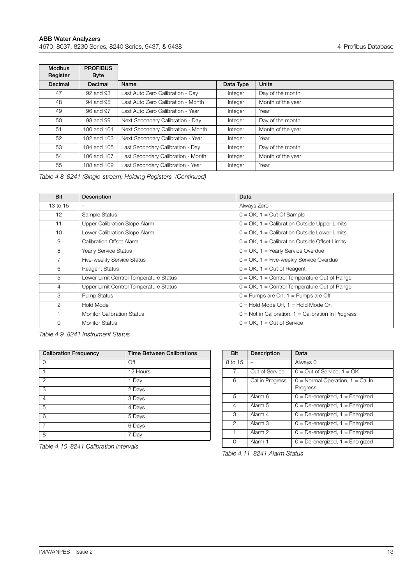Г

| <b>Modbus</b><br>Register | <b>PROFIBUS</b><br><b>Byte</b> |                                    |           |                   |
|---------------------------|--------------------------------|------------------------------------|-----------|-------------------|
| Decimal                   | Decimal                        | Name                               | Data Type | <b>Units</b>      |
| 47                        | 92 and 93                      | Last Auto Zero Calibration - Day   | Integer   | Day of the month  |
| 48                        | 94 and 95                      | Last Auto Zero Calibration - Month | Integer   | Month of the year |
| 49                        | 96 and 97                      | Last Auto Zero Calibration - Year  | Integer   | Year              |
| 50                        | 98 and 99                      | Next Secondary Calibration - Day   | Integer   | Day of the month  |
| 51                        | 100 and 101                    | Next Secondary Calibration - Month | Integer   | Month of the year |
| 52                        | 102 and 103                    | Next Secondary Calibration - Year  | Integer   | Year              |
| 53                        | 104 and 105                    | Last Secondary Calibration - Day   | Integer   | Day of the month  |
| 54                        | 106 and 107                    | Last Secondary Calibration - Month | Integer   | Month of the year |
| 55                        | 108 and 109                    | Last Secondary Calibration - Year  | Integer   | Year              |

*Table 4.8 8241 (Single-stream) Holding Registers (Continued)*

<span id="page-14-0"></span>

| Bit      | <b>Description</b>                     | Data                                                  |
|----------|----------------------------------------|-------------------------------------------------------|
| 13 to 15 | $\overline{\phantom{0}}$               | Always Zero                                           |
| 12       | Sample Status                          | $0 = OK$ , $1 = Out Of Sample$                        |
| 11       | Upper Calibration Slope Alarm          | $0 = OK$ , 1 = Calibration Outside Upper Limits       |
| 10       | Lower Calibration Slope Alarm          | $0 = OK$ , 1 = Calibration Outside Lower Limits       |
| 9        | Calibration Offset Alarm               | $0 = OK$ , 1 = Calibration Outside Offset Limits      |
| 8        | Yearly Service Status                  | $0 = OK$ , 1 = Yearly Service Overdue                 |
|          | Five-weekly Service Status             | $0 = OK$ , $1 = Five-weekly Service Overdue$          |
| 6        | <b>Reagent Status</b>                  | $0 = OK$ , $1 = Out of Research$                      |
| 5        | Lower Limit Control Temperature Status | $0 = OK$ , 1 = Control Temperature Out of Range       |
| 4        | Upper Limit Control Temperature Status | $0 = OK$ , 1 = Control Temperature Out of Range       |
| 3        | Pump Status                            | $0 =$ Pumps are On, $1 =$ Pumps are Off               |
| 2        | Hold Mode                              | $0 =$ Hold Mode Off, $1 =$ Hold Mode On               |
|          | <b>Monitor Calibration Status</b>      | $0 =$ Not in Calibration, 1 = Calibration In Progress |
| $\Omega$ | <b>Monitor Status</b>                  | $0 = OK$ , $1 = Out of Service$                       |

*Table 4.9 8241 Instrument Status*

<span id="page-14-2"></span>

| <b>Calibration Frequency</b> | <b>Time Between Calibrations</b> |
|------------------------------|----------------------------------|
| Ω                            | Off                              |
|                              | 12 Hours                         |
| $\mathbf{2}$                 | 1 Day                            |
| 3                            | 2 Days                           |
| $\overline{4}$               | 3 Days                           |
| 5                            | 4 Days                           |
| 6                            | 5 Days                           |
| 7                            | 6 Days                           |
| 8                            | 7 Day                            |

<span id="page-14-1"></span>

| <b>Bit</b>     | Description     | Data                                           |
|----------------|-----------------|------------------------------------------------|
| 8 to 15        |                 | Always 0                                       |
| 7              | Out of Service  | $0 = Out of Service, 1 = OK$                   |
| 6              | Cal in Progress | $0 =$ Normal Operation, 1 = Cal In<br>Progress |
| 5              | Alarm 6         | $0 = De$ -energized, $1 = E$ nergized          |
| 4              | Alarm 5         | $0 = De$ -energized, $1 = E$ nergized          |
| 3              | Alarm 4         | $0 = De-energized$ , $1 = Energized$           |
| $\overline{2}$ | Alarm 3         | $0 = De$ -energized, $1 = E$ nergized          |
| $\mathbf 1$    | Alarm 2         | $0 = De$ -energized, $1 = E$ nergized          |
| $\Omega$       | Alarm 1         | $0 = De-energized$ , $1 = Energized$           |

*Table 4.11 8241 Alarm Status*

*Table 4.10 8241 Calibration Intervals*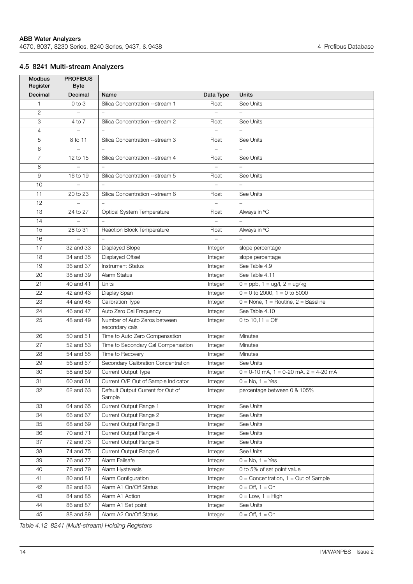## <span id="page-15-0"></span>**4.5 8241 Multi-stream Analyzers**

| <b>Modbus</b><br>Register | <b>PROFIBUS</b><br><b>Byte</b> |                                             |                          |                                             |
|---------------------------|--------------------------------|---------------------------------------------|--------------------------|---------------------------------------------|
| Decimal                   | Decimal                        | Name                                        | Data Type                | <b>Units</b>                                |
| $\mathbf{1}$              | $0$ to $3$                     | Silica Concentration --stream 1             | Float                    | See Units                                   |
| $\overline{2}$            | $\!-$                          | $\equiv$                                    | $\equiv$                 | $\equiv$                                    |
| 3                         | 4 to 7                         | Silica Concentration --stream 2             | Float                    | See Units                                   |
| $\overline{4}$            |                                |                                             |                          |                                             |
| 5                         | 8 to 11                        | Silica Concentration --stream 3             | Float                    | See Units                                   |
| 6                         |                                |                                             | $\qquad \qquad -$        | $\overline{\phantom{0}}$                    |
| $\overline{7}$            | 12 to 15                       | Silica Concentration --stream 4             | Float                    | See Units                                   |
| 8                         |                                |                                             | $\overline{\phantom{0}}$ | $\overline{a}$                              |
| 9                         | 16 to 19                       | Silica Concentration --stream 5             | Float                    | See Units                                   |
| 10                        |                                |                                             |                          |                                             |
| 11                        | 20 to 23                       | Silica Concentration --stream 6             | Float                    | See Units                                   |
| 12                        |                                | $\qquad \qquad -$                           | $\qquad \qquad -$        | $\overline{\phantom{m}}$                    |
| 13                        | 24 to 27                       | Optical System Temperature                  | Float                    | Always in °C                                |
| 14                        | $\overline{\phantom{a}}$       | $\overline{a}$                              | $\overline{a}$           | $\overline{a}$                              |
| 15                        | 28 to 31                       | Reaction Block Temperature                  | Float                    | Always in °C                                |
| 16                        |                                |                                             |                          |                                             |
| 17                        | 32 and 33                      | Displayed Slope                             | Integer                  | slope percentage                            |
| 18                        | 34 and 35                      | Displayed Offset                            | Integer                  | slope percentage                            |
| 19                        | 36 and 37                      | <b>Instrument Status</b>                    | Integer                  | See Table 4.9                               |
| 20                        | 38 and 39                      | Alarm Status                                | Integer                  | See Table 4.11                              |
| 21                        | 40 and 41                      | Units                                       | Integer                  | $0 =$ ppb, $1 =$ ug/l, $2 =$ ug/kg          |
| 22                        | 42 and 43                      | Display Span                                | Integer                  | $0 = 0$ to 2000, $1 = 0$ to 5000            |
| 23                        | 44 and 45                      | Calibration Type                            | Integer                  | $0 =$ None, 1 = Routine, 2 = Baseline       |
| 24                        | 46 and 47                      | Auto Zero Cal Frequency                     | Integer                  | See Table 4.10                              |
| 25                        | 48 and 49                      | Number of Auto Zeros between                | Integer                  | 0 to $10,11 = \text{Off}$                   |
|                           |                                | secondary cals                              |                          |                                             |
| 26                        | 50 and 51                      | Time to Auto Zero Compensation              | Integer                  | Minutes                                     |
| 27                        | 52 and 53                      | Time to Secondary Cal Compensation          | Integer                  | Minutes                                     |
| 28                        | 54 and 55                      | Time to Recovery                            | Integer                  | <b>Minutes</b>                              |
| 29                        | 56 and 57                      | Secondary Calibration Concentration         | Integer                  | See Units                                   |
| 30                        | 58 and 59                      | <b>Current Output Type</b>                  | Integer                  | $0 = 0-10$ mA, $1 = 0-20$ mA, $2 = 4-20$ mA |
| 31                        | 60 and 61                      | Current O/P Out of Sample Indicator         | Integer                  | $0 = No, 1 = Yes$                           |
| 32                        | 62 and 63                      | Default Output Current for Out of<br>Sample | Integer                  | percentage between 0 & 105%                 |
| 33                        | 64 and 65                      | Current Output Range 1                      | Integer                  | See Units                                   |
| 34                        | 66 and 67                      | Current Output Range 2                      | Integer                  | See Units                                   |
| 35                        | 68 and 69                      | Current Output Range 3                      | Integer                  | See Units                                   |
| 36                        | 70 and 71                      | Current Output Range 4                      | Integer                  | See Units                                   |
| 37                        | 72 and 73                      | Current Output Range 5                      | Integer                  | See Units                                   |
| 38                        | 74 and 75                      | Current Output Range 6                      | Integer                  | See Units                                   |
| 39                        | 76 and 77                      | Alarm Failsafe                              | Integer                  | $0 = No, 1 = Yes$                           |
| 40                        | 78 and 79                      | Alarm Hysteresis                            | Integer                  | 0 to 5% of set point value                  |
| 41                        | 80 and 81                      | Alarm Configuration                         | Integer                  | $0 =$ Concentration, $1 =$ Out of Sample    |
| 42                        | 82 and 83                      | Alarm A1 On/Off Status                      | Integer                  | $0 = \text{Off}, 1 = \text{On}$             |
| 43                        | 84 and 85                      | Alarm A1 Action                             | Integer                  | $0 = Low, 1 = High$                         |
| 44                        | 86 and 87                      | Alarm A1 Set point                          | Integer                  | See Units                                   |
| 45                        | 88 and 89                      | Alarm A2 On/Off Status                      | Integer                  | $0 = \text{Off}, 1 = \text{On}$             |

*Table 4.12 8241 (Multi-stream) Holding Registers*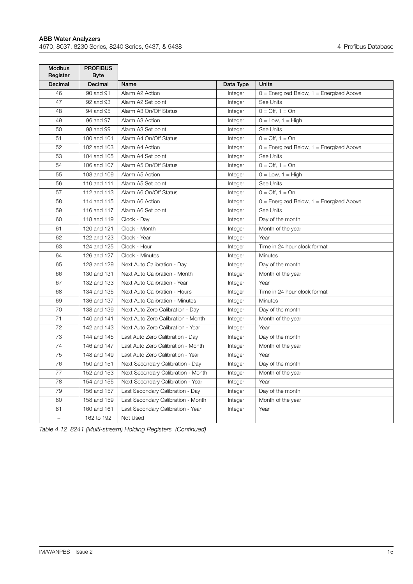$\blacksquare$ 

| <b>Modbus</b><br>Register | <b>PROFIBUS</b><br><b>Byte</b> |                                    |           |                                              |
|---------------------------|--------------------------------|------------------------------------|-----------|----------------------------------------------|
| <b>Decimal</b>            | Decimal                        | Name                               | Data Type | <b>Units</b>                                 |
| 46                        | 90 and 91                      | Alarm A2 Action                    | Integer   | $0 =$ Energized Below, $1 =$ Energized Above |
| 47                        | 92 and 93                      | Alarm A2 Set point                 | Integer   | See Units                                    |
| 48                        | 94 and 95                      | Alarm A3 On/Off Status             | Integer   | $0 = \text{Off}, 1 = \text{On}$              |
| 49                        | 96 and 97                      | Alarm A3 Action                    | Integer   | $0 = Low$ , $1 = High$                       |
| 50                        | 98 and 99                      | Alarm A3 Set point                 | Integer   | See Units                                    |
| 51                        | 100 and 101                    | Alarm A4 On/Off Status             | Integer   | $0 = \bigcap f$ , 1 = $\bigcap f$            |
| 52                        | 102 and 103                    | Alarm A4 Action                    | Integer   | $0 =$ Energized Below, $1 =$ Energized Above |
| 53                        | 104 and 105                    | Alarm A4 Set point                 | Integer   | See Units                                    |
| 54                        | 106 and 107                    | Alarm A5 On/Off Status             | Integer   | $0 = \bigcap f$ , 1 = $\bigcap f$            |
| 55                        | 108 and 109                    | Alarm A5 Action                    | Integer   | $0 = Low, 1 = High$                          |
| 56                        | 110 and 111                    | Alarm A5 Set point                 | Integer   | See Units                                    |
| 57                        | 112 and 113                    | Alarm A6 On/Off Status             | Integer   | $0 = \text{Off}, 1 = \text{On}$              |
| 58                        | 114 and 115                    | Alarm A6 Action                    | Integer   | 0 = Energized Below, 1 = Energized Above     |
| 59                        | 116 and 117                    | Alarm A6 Set point                 | Integer   | See Units                                    |
| 60                        | 118 and 119                    | Clock - Day                        | Integer   | Day of the month                             |
| 61                        | 120 and 121                    | Clock - Month                      | Integer   | Month of the year                            |
| 62                        | 122 and 123                    | Clock - Year                       | Integer   | Year                                         |
| 63                        | 124 and 125                    | Clock - Hour                       | Integer   | Time in 24 hour clock format                 |
| 64                        | 126 and 127                    | Clock - Minutes                    | Integer   | <b>Minutes</b>                               |
| 65                        | 128 and 129                    | Next Auto Calibration - Day        | Integer   | Day of the month                             |
| 66                        | 130 and 131                    | Next Auto Calibration - Month      | Integer   | Month of the year                            |
| 67                        | 132 and 133                    | Next Auto Calibration - Year       | Integer   | Year                                         |
| 68                        | 134 and 135                    | Next Auto Calibration - Hours      | Integer   | Time in 24 hour clock format                 |
| 69                        | 136 and 137                    | Next Auto Calibration - Minutes    | Integer   | <b>Minutes</b>                               |
| 70                        | 138 and 139                    | Next Auto Zero Calibration - Day   | Integer   | Day of the month                             |
| 71                        | 140 and 141                    | Next Auto Zero Calibration - Month | Integer   | Month of the year                            |
| 72                        | 142 and 143                    | Next Auto Zero Calibration - Year  | Integer   | Year                                         |
| 73                        | 144 and 145                    | Last Auto Zero Calibration - Day   | Integer   | Day of the month                             |
| 74                        | 146 and 147                    | Last Auto Zero Calibration - Month | Integer   | Month of the year                            |
| 75                        | 148 and 149                    | Last Auto Zero Calibration - Year  | Integer   | Year                                         |
| 76                        | 150 and 151                    | Next Secondary Calibration - Day   | Integer   | Day of the month                             |
| 77                        | 152 and 153                    | Next Secondary Calibration - Month | Integer   | Month of the year                            |
| 78                        | 154 and 155                    | Next Secondary Calibration - Year  | Integer   | Year                                         |
| 79                        | 156 and 157                    | Last Secondary Calibration - Day   | Integer   | Day of the month                             |
| 80                        | 158 and 159                    | Last Secondary Calibration - Month | Integer   | Month of the year                            |
| 81                        | 160 and 161                    | Last Secondary Calibration - Year  | Integer   | Year                                         |
|                           | 162 to 192                     | Not Used                           |           |                                              |

*Table 4.12 8241 (Multi-stream) Holding Registers (Continued)*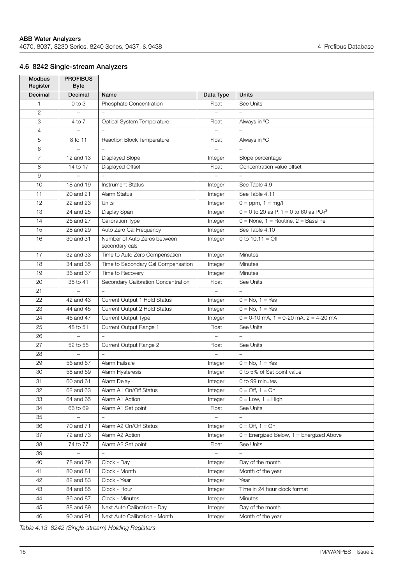## <span id="page-17-0"></span>**4.6 8242 Single-stream Analyzers**

| <b>Modbus</b><br>Register | <b>PROFIBUS</b><br><b>Byte</b> |                                                |                   |                                                       |
|---------------------------|--------------------------------|------------------------------------------------|-------------------|-------------------------------------------------------|
| <b>Decimal</b>            | Decimal                        | Name                                           | Data Type         | <b>Units</b>                                          |
| $\mathbf{1}$              | $0$ to $3$                     | Phosphate Concentration                        | Float             | See Units                                             |
| $\overline{2}$            |                                | $\equiv$                                       | $\overline{a}$    | $\equiv$                                              |
| 3                         | 4 to 7                         | Optical System Temperature                     | Float             | Always in °C                                          |
| $\overline{4}$            |                                |                                                |                   |                                                       |
| 5                         | 8 to 11                        | Reaction Block Temperature                     | Float             | Always in °C                                          |
| 6                         |                                |                                                |                   |                                                       |
| $\overline{7}$            | 12 and 13                      | <b>Displayed Slope</b>                         | Integer           | Slope percentage                                      |
| 8                         | 14 to 17                       | Displayed Offset                               | Float             | Concentration value offset                            |
| 9                         |                                |                                                |                   |                                                       |
| 10                        | 18 and 19                      | <b>Instrument Status</b>                       | Integer           | See Table 4.9                                         |
| 11                        | 20 and 21                      | <b>Alarm Status</b>                            | Integer           | See Table 4.11                                        |
| 12                        | 22 and 23                      | Units                                          | Integer           | $0 = ppm, 1 = mg/l$                                   |
| 13                        | 24 and 25                      | Display Span                                   | Integer           | $0 = 0$ to 20 as P, 1 = 0 to 60 as PO <sub>4</sub> 3- |
| 14                        | 26 and 27                      | Calibration Type                               | Integer           | $0 =$ None, 1 = Routine, 2 = Baseline                 |
| 15                        | 28 and 29                      | Auto Zero Cal Frequency                        | Integer           | See Table 4.10                                        |
| 16                        | 30 and 31                      | Number of Auto Zeros between<br>secondary cals | Integer           | 0 to $10.11 =$ Off                                    |
| 17                        | 32 and 33                      | Time to Auto Zero Compensation                 | Integer           | <b>Minutes</b>                                        |
| 18                        | 34 and 35                      | Time to Secondary Cal Compensation             | Integer           | Minutes                                               |
| 19                        | 36 and 37                      | Time to Recovery                               | Integer           | <b>Minutes</b>                                        |
| 20                        | 38 to 41                       | Secondary Calibration Concentration            | Float             | See Units                                             |
| 21                        |                                |                                                |                   |                                                       |
| 22                        | 42 and 43                      | Current Output 1 Hold Status                   | Integer           | $0 = No, 1 = Yes$                                     |
| 23                        | 44 and 45                      | Current Output 2 Hold Status                   | Integer           | $0 = No, 1 = Yes$                                     |
| 24                        | 46 and 47                      | Current Output Type                            | Integer           | $0 = 0-10$ mA, $1 = 0-20$ mA, $2 = 4-20$ mA           |
| 25                        | 48 to 51                       | Current Output Range 1                         | Float             | See Units                                             |
| 26                        | $\qquad \qquad -$              | $\qquad \qquad -$                              | $\qquad \qquad -$ | $\qquad \qquad -$                                     |
| 27                        | 52 to 55                       | Current Output Range 2                         | Float             | See Units                                             |
| 28                        | $\overline{a}$                 | $\overline{a}$                                 | $\overline{a}$    | $\overline{\phantom{0}}$                              |
| 29                        | 56 and 57                      | Alarm Failsafe                                 | Integer           | $0 = No, 1 = Yes$                                     |
| 30                        | 58 and 59                      | Alarm Hysteresis                               | Integer           | 0 to 5% of Set point value                            |
| 31                        | 60 and 61                      | Alarm Delay                                    | Integer           | 0 to 99 minutes                                       |
| 32                        | 62 and 63                      | Alarm A1 On/Off Status                         | Integer           | $0 = \text{Off}, 1 = \text{On}$                       |
| 33                        | 64 and 65                      | Alarm A1 Action                                | Integer           | $0 = Low, 1 = High$                                   |
| 34                        | 66 to 69                       | Alarm A1 Set point                             | Float             | See Units                                             |
| 35                        |                                |                                                |                   | $\overline{\phantom{0}}$                              |
| 36                        | 70 and 71                      | Alarm A2 On/Off Status                         | Integer           | $0 = \text{Off}, 1 = \text{On}$                       |
| 37                        | 72 and 73                      | Alarm A2 Action                                | Integer           | $0 =$ Energized Below, $1 =$ Energized Above          |
| 38                        | 74 to 77                       | Alarm A2 Set point                             | Float             | See Units                                             |
| 39                        |                                |                                                |                   | $\equiv$                                              |
| 40                        | 78 and 79                      | Clock - Day                                    | Integer           | Day of the month                                      |
| 41                        | 80 and 81                      | Clock - Month                                  | Integer           | Month of the year                                     |
| 42                        | 82 and 83                      | Clock - Year                                   | Integer           | Year                                                  |
| 43                        | 84 and 85                      | Clock - Hour                                   | Integer           | Time in 24 hour clock format                          |
| 44                        | 86 and 87                      | Clock - Minutes                                | Integer           | <b>Minutes</b>                                        |
| 45                        | 88 and 89                      | Next Auto Calibration - Day                    | Integer           | Day of the month                                      |
| 46                        | 90 and 91                      | Next Auto Calibration - Month                  | Integer           | Month of the year                                     |

*Table 4.13 8242 (Single-stream) Holding Registers*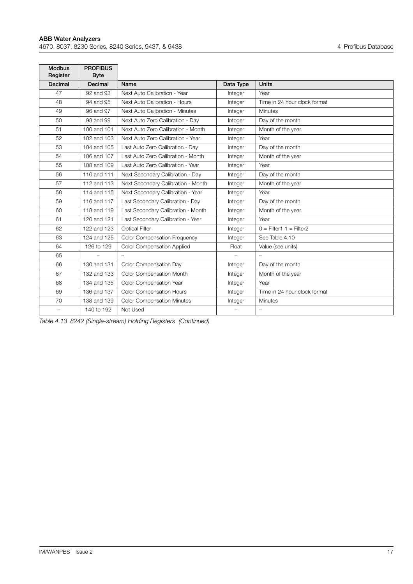Е

| <b>Modbus</b><br>Register | <b>PROFIBUS</b><br><b>Byte</b> |                                     |                          |                              |
|---------------------------|--------------------------------|-------------------------------------|--------------------------|------------------------------|
| Decimal                   | Decimal                        | Name                                | Data Type                | <b>Units</b>                 |
| 47                        | 92 and 93                      | Next Auto Calibration - Year        | Integer                  | Year                         |
| 48                        | 94 and 95                      | Next Auto Calibration - Hours       | Integer                  | Time in 24 hour clock format |
| 49                        | 96 and 97                      | Next Auto Calibration - Minutes     | Integer                  | Minutes                      |
| 50                        | 98 and 99                      | Next Auto Zero Calibration - Day    | Integer                  | Day of the month             |
| 51                        | 100 and 101                    | Next Auto Zero Calibration - Month  | Integer                  | Month of the year            |
| 52                        | 102 and 103                    | Next Auto Zero Calibration - Year   | Integer                  | Year                         |
| 53                        | 104 and 105                    | Last Auto Zero Calibration - Day    | Integer                  | Day of the month             |
| 54                        | 106 and 107                    | Last Auto Zero Calibration - Month  | Integer                  | Month of the year            |
| 55                        | 108 and 109                    | Last Auto Zero Calibration - Year   | Integer                  | Year                         |
| 56                        | 110 and 111                    | Next Secondary Calibration - Day    | Integer                  | Day of the month             |
| 57                        | 112 and 113                    | Next Secondary Calibration - Month  | Integer                  | Month of the year            |
| 58                        | 114 and 115                    | Next Secondary Calibration - Year   | Integer                  | Year                         |
| 59                        | 116 and 117                    | Last Secondary Calibration - Day    | Integer                  | Day of the month             |
| 60                        | 118 and 119                    | Last Secondary Calibration - Month  | Integer                  | Month of the year            |
| 61                        | 120 and 121                    | Last Secondary Calibration - Year   | Integer                  | Year                         |
| 62                        | 122 and 123                    | <b>Optical Filter</b>               | Integer                  | $0 =$ Filter1 1 = Filter2    |
| 63                        | 124 and 125                    | <b>Color Compensation Frequency</b> | Integer                  | See Table 4.10               |
| 64                        | 126 to 129                     | <b>Color Compensation Applied</b>   | Float                    | Value (see units)            |
| 65                        |                                |                                     |                          |                              |
| 66                        | 130 and 131                    | Color Compensation Day              | Integer                  | Day of the month             |
| 67                        | 132 and 133                    | Color Compensation Month            | Integer                  | Month of the year            |
| 68                        | 134 and 135                    | Color Compensation Year             | Integer                  | Year                         |
| 69                        | 136 and 137                    | <b>Color Compensation Hours</b>     | Integer                  | Time in 24 hour clock format |
| 70                        | 138 and 139                    | <b>Color Compensation Minutes</b>   | Integer                  | <b>Minutes</b>               |
| $\overline{\phantom{0}}$  | 140 to 192                     | Not Used                            | $\overline{\phantom{0}}$ | $\overline{\phantom{0}}$     |

*Table 4.13 8242 (Single-stream) Holding Registers (Continued)*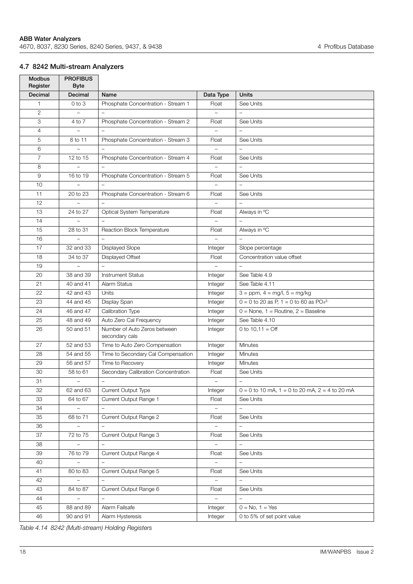### <span id="page-19-0"></span>**4.7 8242 Multi-stream Analyzers**

| <b>Modbus</b><br>Register | <b>PROFIBUS</b><br><b>Byte</b> |                                                |                          |                                                       |
|---------------------------|--------------------------------|------------------------------------------------|--------------------------|-------------------------------------------------------|
| Decimal                   | Decimal                        | Name                                           | Data Type                | <b>Units</b>                                          |
| $\mathbf{1}$              | $0$ to $3$                     | Phosphate Concentration - Stream 1             | Float                    | See Units                                             |
| $\overline{2}$            | $\!-$                          | $\equiv$                                       | $\equiv$                 | $\equiv$                                              |
| 3                         | 4 to 7                         | Phosphate Concentration - Stream 2             | Float                    | See Units                                             |
| $\overline{4}$            |                                |                                                |                          |                                                       |
| 5                         | 8 to 11                        | Phosphate Concentration - Stream 3             | Float                    | See Units                                             |
| 6                         |                                |                                                | $\qquad \qquad -$        | $\overline{\phantom{0}}$                              |
| $\overline{7}$            | 12 to 15                       | Phosphate Concentration - Stream 4             | Float                    | See Units                                             |
| 8                         |                                |                                                | $\overline{\phantom{0}}$ | $\overline{a}$                                        |
| 9                         | 16 to 19                       | Phosphate Concentration - Stream 5             | Float                    | See Units                                             |
| 10                        |                                |                                                |                          |                                                       |
| 11                        | 20 to 23                       | Phosphate Concentration - Stream 6             | Float                    | See Units                                             |
| 12                        |                                | $\qquad \qquad -$                              | $\qquad \qquad -$        | $\overline{\phantom{m}}$                              |
| 13                        | 24 to 27                       | Optical System Temperature                     | Float                    | Always in °C                                          |
| 14                        | $\overline{\phantom{a}}$       | $\overline{a}$                                 | $\overline{a}$           | $\overline{a}$                                        |
| 15                        | 28 to 31                       | Reaction Block Temperature                     | Float                    | Always in °C                                          |
| 16                        |                                |                                                |                          |                                                       |
| 17                        | 32 and 33                      | Displayed Slope                                | Integer                  | Slope percentage                                      |
| 18                        | 34 to 37                       | Displayed Offset                               | Float                    | Concentration value offset                            |
| 19                        |                                |                                                |                          |                                                       |
| 20                        | 38 and 39                      | <b>Instrument Status</b>                       | Integer                  | See Table 4.9                                         |
| 21                        | 40 and 41                      | Alarm Status                                   | Integer                  | See Table 4.11                                        |
| 22                        | 42 and 43                      | Units                                          | Integer                  | $3 = ppm, 4 = mg/l, 5 = mg/kg$                        |
| 23                        | 44 and 45                      | Display Span                                   | Integer                  | $0 = 0$ to 20 as P, 1 = 0 to 60 as PO <sub>4</sub> 3- |
| 24                        | 46 and 47                      | Calibration Type                               | Integer                  | $0 =$ None, $1 =$ Routine, $2 =$ Baseline             |
| 25                        | 48 and 49                      | Auto Zero Cal Frequency                        | Integer                  | See Table 4.10                                        |
| 26                        | 50 and 51                      | Number of Auto Zeros between<br>secondary cals | Integer                  | 0 to $10,11 =$ Off                                    |
| 27                        | 52 and 53                      | Time to Auto Zero Compensation                 | Integer                  | Minutes                                               |
| 28                        | 54 and 55                      | Time to Secondary Cal Compensation             | Integer                  | Minutes                                               |
| 29                        | 56 and 57                      | Time to Recovery                               | Integer                  | <b>Minutes</b>                                        |
| 30                        | 58 to 61                       | Secondary Calibration Concentration            | Float                    | See Units                                             |
| 31                        | $\qquad \qquad -$              | $\overline{\phantom{a}}$                       | $\overline{\phantom{0}}$ | $\overline{\phantom{0}}$                              |
| 32                        | 62 and 63                      | <b>Current Output Type</b>                     | Integer                  | $0 = 0$ to 10 mA, 1 = 0 to 20 mA, 2 = 4 to 20 mA      |
| 33                        | 64 to 67                       | Current Output Range 1                         | Float                    | See Units                                             |
| 34                        | $\overline{a}$                 | $\qquad \qquad -$                              | $\overline{\phantom{0}}$ | $\equiv$                                              |
| 35                        | 68 to 71                       | Current Output Range 2                         | Float                    | See Units                                             |
| 36                        |                                |                                                |                          |                                                       |
| 37                        | 72 to 75                       | Current Output Range 3                         | Float                    | See Units                                             |
| 38                        |                                |                                                | $\overline{\phantom{a}}$ | $\qquad \qquad -$                                     |
| 39                        | 76 to 79                       | Current Output Range 4                         | Float                    | See Units                                             |
| 40                        | $\equiv$                       | $\overline{\phantom{0}}$                       | $\equiv$                 | $\equiv$                                              |
| 41                        | 80 to 83                       | Current Output Range 5                         | Float                    | See Units                                             |
| 42                        |                                |                                                |                          |                                                       |
| 43                        | 84 to 87                       | Current Output Range 6                         | Float                    | See Units                                             |
| 44                        | $\qquad \qquad -$              | $\qquad \qquad -$                              | $\overline{\phantom{a}}$ | $\qquad \qquad -$                                     |
| 45                        | 88 and 89                      | Alarm Failsafe                                 | Integer                  | $0 = No, 1 = Yes$                                     |
| 46                        | 90 and 91                      | Alarm Hysteresis                               | Integer                  | 0 to 5% of set point value                            |

*Table 4.14 8242 (Multi-stream) Holding Registers*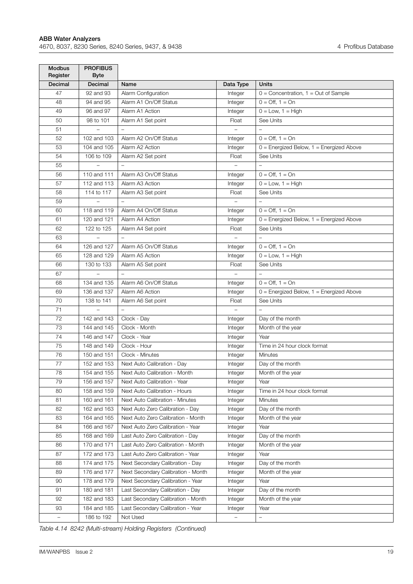| <b>Modbus</b><br>Register | <b>PROFIBUS</b><br><b>Byte</b> |                                    |                          |                                              |
|---------------------------|--------------------------------|------------------------------------|--------------------------|----------------------------------------------|
| Decimal                   | Decimal                        | Name                               | Data Type                | <b>Units</b>                                 |
| 47                        | 92 and 93                      | Alarm Configuration                | Integer                  | $0 =$ Concentration, $1 =$ Out of Sample     |
| 48                        | 94 and 95                      | Alarm A1 On/Off Status             | Integer                  | $0 = \text{Off}, 1 = \text{On}$              |
| 49                        | 96 and 97                      | Alarm A1 Action                    | Integer                  | $0 = Low, 1 = High$                          |
| 50                        | 98 to 101                      | Alarm A1 Set point                 | Float                    | See Units                                    |
| 51                        | $\overline{a}$                 | $\overline{\phantom{a}}$           | $\overline{\phantom{0}}$ | $\overline{a}$                               |
| 52                        | 102 and 103                    | Alarm A2 On/Off Status             | Integer                  | $0 = \text{Off}, 1 = \text{On}$              |
| 53                        | 104 and 105                    | Alarm A2 Action                    | Integer                  | $0 =$ Energized Below, $1 =$ Energized Above |
| 54                        | 106 to 109                     | Alarm A2 Set point                 | Float                    | See Units                                    |
| 55                        |                                |                                    |                          |                                              |
| 56                        | 110 and 111                    | Alarm A3 On/Off Status             | Integer                  | $0 = \text{Off}, 1 = \text{On}$              |
| 57                        | 112 and 113                    | Alarm A3 Action                    | Integer                  | $0 = Low, 1 = High$                          |
| 58                        | 114 to 117                     | Alarm A3 Set point                 | Float                    | See Units                                    |
| 59                        | $\overline{\phantom{0}}$       | $\overline{\phantom{0}}$           | $\overline{\phantom{0}}$ | $\qquad \qquad -$                            |
| 60                        | 118 and 119                    | Alarm A4 On/Off Status             | Integer                  | $0 = \text{Off. } 1 = \text{On}$             |
| 61                        | 120 and 121                    | Alarm A4 Action                    | Integer                  | $0 =$ Energized Below, $1 =$ Energized Above |
| 62                        | 122 to 125                     | Alarm A4 Set point                 | Float                    | See Units                                    |
| 63                        | $\equiv$                       | $\overline{\phantom{a}}$           | $\overline{\phantom{0}}$ | $\overline{a}$                               |
| 64                        | 126 and 127                    | Alarm A5 On/Off Status             | Integer                  | $0 = \text{Off}, 1 = \text{On}$              |
| 65                        | 128 and 129                    | Alarm A5 Action                    | Integer                  | $0 = Low, 1 = High$                          |
| 66                        | 130 to 133                     | Alarm A5 Set point                 | Float                    | See Units                                    |
| 67                        |                                |                                    |                          |                                              |
| 68                        | 134 and 135                    | Alarm A6 On/Off Status             | Integer                  | $0 = \text{Off}, 1 = \text{On}$              |
| 69                        | 136 and 137                    | Alarm A6 Action                    | Integer                  | $0 =$ Energized Below, $1 =$ Energized Above |
| 70                        | 138 to 141                     | Alarm A6 Set point                 | Float                    | See Units                                    |
| 71                        |                                | $\overline{a}$                     | $\overline{\phantom{0}}$ |                                              |
| 72                        | 142 and 143                    | Clock - Day                        | Integer                  | Day of the month                             |
| 73                        | 144 and 145                    | Clock - Month                      | Integer                  | Month of the year                            |
| 74                        | 146 and 147                    | Clock - Year                       | Integer                  | Year                                         |
| 75                        | 148 and 149                    | Clock - Hour                       | Integer                  | Time in 24 hour clock format                 |
| 76                        | 150 and 151                    | Clock - Minutes                    | Integer                  | <b>Minutes</b>                               |
| 77                        | 152 and 153                    | Next Auto Calibration - Day        | Integer                  | Day of the month                             |
| 78                        | 154 and 155                    | Next Auto Calibration - Month      | Integer                  | Month of the year                            |
| 79                        | 156 and 157                    | Next Auto Calibration - Year       | Integer                  | Year                                         |
| 80                        | 158 and 159                    | Next Auto Calibration - Hours      | Integer                  | Time in 24 hour clock format                 |
| 81                        | 160 and 161                    | Next Auto Calibration - Minutes    | Integer                  | Minutes                                      |
| 82                        | 162 and 163                    | Next Auto Zero Calibration - Day   | Integer                  | Day of the month                             |
| 83                        | 164 and 165                    | Next Auto Zero Calibration - Month | Integer                  | Month of the year                            |
| 84                        | 166 and 167                    | Next Auto Zero Calibration - Year  | Integer                  | Year                                         |
| 85                        | 168 and 169                    | Last Auto Zero Calibration - Day   | Integer                  | Day of the month                             |
| 86                        | 170 and 171                    | Last Auto Zero Calibration - Month | Integer                  | Month of the year                            |
| 87                        | 172 and 173                    | Last Auto Zero Calibration - Year  | Integer                  | Year                                         |
| 88                        | 174 and 175                    | Next Secondary Calibration - Day   | Integer                  | Day of the month                             |
| 89                        | 176 and 177                    | Next Secondary Calibration - Month | Integer                  | Month of the year                            |
| 90                        | 178 and 179                    | Next Secondary Calibration - Year  | Integer                  | Year                                         |
| 91                        | 180 and 181                    | Last Secondary Calibration - Day   | Integer                  | Day of the month                             |
| 92                        | 182 and 183                    | Last Secondary Calibration - Month | Integer                  | Month of the year                            |
| 93                        | 184 and 185                    | Last Secondary Calibration - Year  | Integer                  | Year                                         |
| $\overline{\phantom{m}}$  | 186 to 192                     | Not Used                           | $\qquad \qquad -$        | $\overline{\phantom{a}}$                     |
|                           |                                |                                    |                          |                                              |

*Table 4.14 8242 (Multi-stream) Holding Registers (Continued)*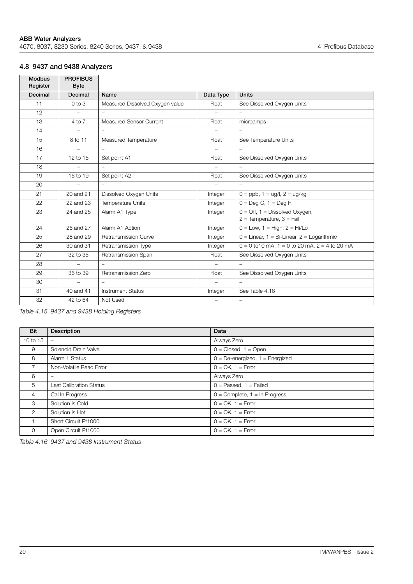## <span id="page-21-0"></span>**4.8 9437 and 9438 Analyzers**

| <b>Modbus</b><br>Register | <b>PROFIBUS</b><br><b>Byte</b> |                                 |                          |                                                                           |
|---------------------------|--------------------------------|---------------------------------|--------------------------|---------------------------------------------------------------------------|
| Decimal                   | Decimal                        | Name                            | Data Type                | <b>Units</b>                                                              |
| 11                        | $0$ to $3$                     | Measured Dissolved Oxygen value | Float                    | See Dissolved Oxygen Units                                                |
| 12                        | $\overline{\phantom{0}}$       |                                 |                          | $\overline{\phantom{0}}$                                                  |
| 13                        | 4 to 7                         | <b>Measured Sensor Current</b>  | Float                    | microamps                                                                 |
| 14                        |                                |                                 |                          |                                                                           |
| 15                        | 8 to 11                        | Measured Temperature            | Float                    | See Temperature Units                                                     |
| 16                        |                                |                                 | $\overline{\phantom{0}}$ |                                                                           |
| 17                        | 12 to 15                       | Set point A1                    | Float                    | See Dissolved Oxygen Units                                                |
| 18                        |                                | $\overline{\phantom{0}}$        | $\overline{\phantom{0}}$ | $\overline{\phantom{0}}$                                                  |
| 19                        | 16 to 19                       | Set point A2                    | Float                    | See Dissolved Oxygen Units                                                |
| 20                        |                                | $\overline{\phantom{0}}$        | $\overline{\phantom{0}}$ | $\overline{\phantom{0}}$                                                  |
| 21                        | 20 and 21                      | Dissolved Oxygen Units          | Integer                  | $0 =$ ppb, $1 =$ ug/l, $2 =$ ug/kg                                        |
| 22                        | 22 and 23                      | <b>Temperature Units</b>        | Integer                  | $0 =$ Deg C, $1 =$ Deg F                                                  |
| 23                        | 24 and 25                      | Alarm A1 Type                   | Integer                  | $0 = \text{Off}$ , 1 = Dissolved Oxygen,<br>$2 =$ Temperature, $3 =$ Fail |
| 24                        | 26 and 27                      | Alarm A1 Action                 | Integer                  | $0 = Low, 1 = High, 2 = Hi/Lo$                                            |
| 25                        | 28 and 29                      | <b>Retransmission Curve</b>     | Integer                  | $0 =$ Linear, $1 =$ Bi-Linear, $2 =$ Logarithmic                          |
| 26                        | 30 and 31                      | Retransmission Type             | Integer                  | $0 = 0$ to 10 mA, 1 = 0 to 20 mA, 2 = 4 to 20 mA                          |
| 27                        | 32 to 35                       | Retransmission Span             | Float                    | See Dissolved Oxygen Units                                                |
| 28                        | $\overline{\phantom{m}}$       | $\overline{\phantom{0}}$        | $\overline{\phantom{0}}$ | $\overline{\phantom{0}}$                                                  |
| 29                        | 36 to 39                       | Retransmission Zero             | Float                    | See Dissolved Oxygen Units                                                |
| 30                        | $\overline{\phantom{0}}$       |                                 |                          | $\overline{\phantom{0}}$                                                  |
| 31                        | 40 and 41                      | <b>Instrument Status</b>        | Integer                  | See Table 4.16                                                            |
| 32                        | 42 to 64                       | Not Used                        |                          | $\overline{\phantom{0}}$                                                  |

*Table 4.15 9437 and 9438 Holding Registers*

<span id="page-21-1"></span>

| Bit            | <b>Description</b>             | Data                                  |
|----------------|--------------------------------|---------------------------------------|
| 10 to 15       | $\overline{\phantom{0}}$       | Always Zero                           |
| 9              | Solenoid Drain Valve           | $0 = Closed, 1 = Open$                |
| 8              | Alarm 1 Status                 | $0 = De$ -energized, $1 = E$ nergized |
| $7^{\circ}$    | Non-Volatile Read Error        | $0 = OK$ , $1 = Error$                |
| 6              | -                              | Always Zero                           |
| 5              | <b>Last Calibration Status</b> | $0 =$ Passed, $1 =$ Failed            |
| $\overline{4}$ | Cal In Progress                | $0 =$ Complete, $1 =$ In Progress     |
| 3              | Solution is Cold               | $0 = OK$ , $1 = Error$                |
| 2              | Solution is Hot                | $0 = OK$ , $1 = Error$                |
|                | Short Circuit Pt1000           | $0 = OK$ , $1 = Error$                |
| $\Omega$       | Open Circuit Pt1000            | $0 = OK$ , $1 = Error$                |

*Table 4.16 9437 and 9438 Instrument Status*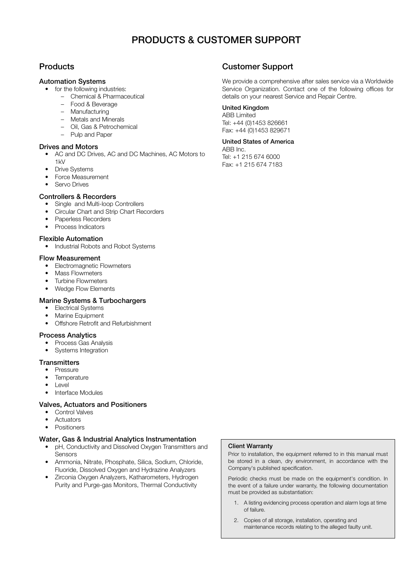## **PRODUCTS & CUSTOMER SUPPORT**

## **Products**

#### **Automation Systems**

- for the following industries:
	- Chemical & Pharmaceutical
	- Food & Beverage
	- Manufacturing
	- Metals and Minerals
	- Oil, Gas & Petrochemical
	- Pulp and Paper

#### **Drives and Motors**

- AC and DC Drives, AC and DC Machines, AC Motors to 1kV
- **Drive Systems**
- Force Measurement
- Servo Drives

#### **Controllers & Recorders**

- Single and Multi-loop Controllers
- Circular Chart and Strip Chart Recorders
- Paperless Recorders
- Process Indicators

#### **Flexible Automation**

• Industrial Robots and Robot Systems

#### **Flow Measurement**

- Electromagnetic Flowmeters
- Mass Flowmeters
- Turbine Flowmeters
- Wedge Flow Elements

#### **Marine Systems & Turbochargers**

- Electrical Systems
- Marine Equipment
- Offshore Retrofit and Refurbishment

#### **Process Analytics**

- Process Gas Analysis
- Systems Integration

#### **Transmitters**

- Pressure
- Temperature
- Level
- Interface Modules

#### **Valves, Actuators and Positioners**

- Control Valves
- Actuators
- Positioners

#### **Water, Gas & Industrial Analytics Instrumentation**

- pH, Conductivity and Dissolved Oxygen Transmitters and Sensors
- Ammonia, Nitrate, Phosphate, Silica, Sodium, Chloride, Fluoride, Dissolved Oxygen and Hydrazine Analyzers
- Zirconia Oxygen Analyzers, Katharometers, Hydrogen Purity and Purge-gas Monitors, Thermal Conductivity

## **Customer Support**

We provide a comprehensive after sales service via a Worldwide Service Organization. Contact one of the following offices for details on your nearest Service and Repair Centre.

### **United Kingdom**

ABB Limited Tel: +44 (0)1453 826661 Fax: +44 (0)1453 829671

#### **United States of America**

ABB Inc. Tel: +1 215 674 6000 Fax: +1 215 674 7183

#### **Client Warranty**

Prior to installation, the equipment referred to in this manual must be stored in a clean, dry environment, in accordance with the Company's published specification.

Periodic checks must be made on the equipment's condition. In the event of a failure under warranty, the following documentation must be provided as substantiation:

- 1. A listing evidencing process operation and alarm logs at time of failure.
- 2. Copies of all storage, installation, operating and maintenance records relating to the alleged faulty unit.